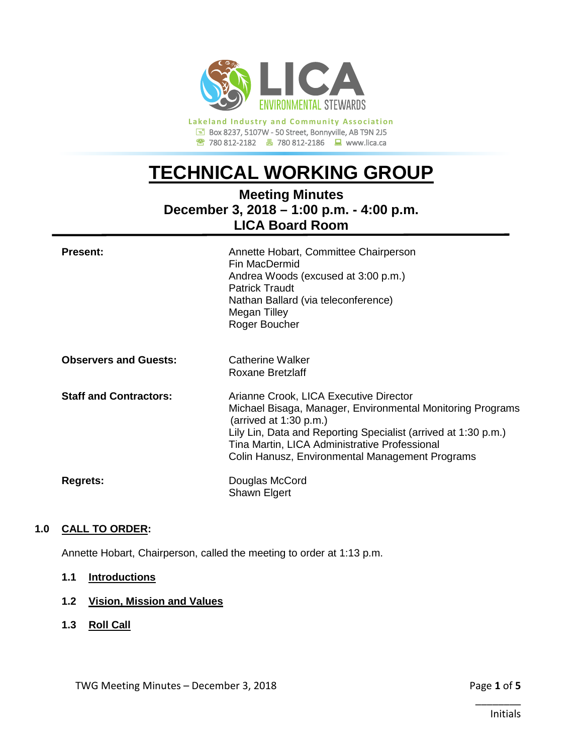

**Lakeland Industry and Community Association** Box 8237, 5107W - 50 Street, Bonnyville, AB T9N 2J5 780 812-2182780 812-2186www.lica.ca

# **TECHNICAL WORKING GROUP**

# **Meeting Minutes December 3, 2018 – 1:00 p.m. - 4:00 p.m. LICA Board Room**

| <b>Present:</b>               | Annette Hobart, Committee Chairperson<br>Fin MacDermid<br>Andrea Woods (excused at 3:00 p.m.)<br><b>Patrick Traudt</b><br>Nathan Ballard (via teleconference)<br>Megan Tilley<br>Roger Boucher                                                                                                         |
|-------------------------------|--------------------------------------------------------------------------------------------------------------------------------------------------------------------------------------------------------------------------------------------------------------------------------------------------------|
| <b>Observers and Guests:</b>  | Catherine Walker<br><b>Roxane Bretzlaff</b>                                                                                                                                                                                                                                                            |
| <b>Staff and Contractors:</b> | Arianne Crook, LICA Executive Director<br>Michael Bisaga, Manager, Environmental Monitoring Programs<br>(arrived at $1:30$ p.m.)<br>Lily Lin, Data and Reporting Specialist (arrived at 1:30 p.m.)<br>Tina Martin, LICA Administrative Professional<br>Colin Hanusz, Environmental Management Programs |
| <b>Regrets:</b>               | Douglas McCord<br>Shawn Elgert                                                                                                                                                                                                                                                                         |

# **1.0 CALL TO ORDER:**

Annette Hobart, Chairperson, called the meeting to order at 1:13 p.m.

# **1.1 Introductions**

# **1.2 Vision, Mission and Values**

**1.3 Roll Call**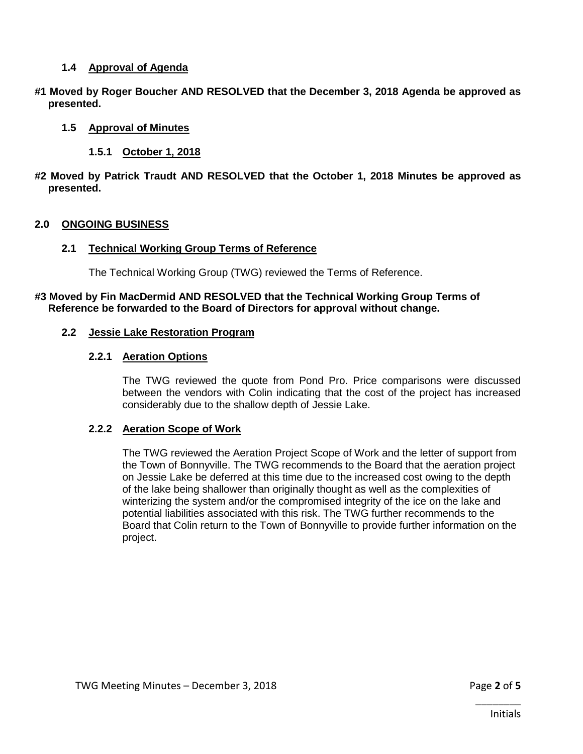#### **1.4 Approval of Agenda**

**#1 Moved by Roger Boucher AND RESOLVED that the December 3, 2018 Agenda be approved as presented.**

#### **1.5 Approval of Minutes**

- **1.5.1 October 1, 2018**
- **#2 Moved by Patrick Traudt AND RESOLVED that the October 1, 2018 Minutes be approved as presented.**

#### **2.0 ONGOING BUSINESS**

#### **2.1 Technical Working Group Terms of Reference**

The Technical Working Group (TWG) reviewed the Terms of Reference.

#### **#3 Moved by Fin MacDermid AND RESOLVED that the Technical Working Group Terms of Reference be forwarded to the Board of Directors for approval without change.**

#### **2.2 Jessie Lake Restoration Program**

#### **2.2.1 Aeration Options**

The TWG reviewed the quote from Pond Pro. Price comparisons were discussed between the vendors with Colin indicating that the cost of the project has increased considerably due to the shallow depth of Jessie Lake.

#### **2.2.2 Aeration Scope of Work**

The TWG reviewed the Aeration Project Scope of Work and the letter of support from the Town of Bonnyville. The TWG recommends to the Board that the aeration project on Jessie Lake be deferred at this time due to the increased cost owing to the depth of the lake being shallower than originally thought as well as the complexities of winterizing the system and/or the compromised integrity of the ice on the lake and potential liabilities associated with this risk. The TWG further recommends to the Board that Colin return to the Town of Bonnyville to provide further information on the project.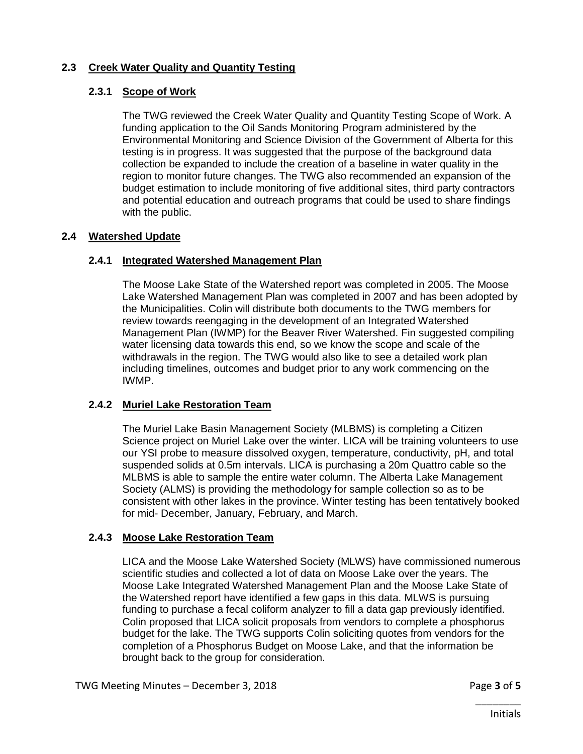# **2.3 Creek Water Quality and Quantity Testing**

# **2.3.1 Scope of Work**

The TWG reviewed the Creek Water Quality and Quantity Testing Scope of Work. A funding application to the Oil Sands Monitoring Program administered by the Environmental Monitoring and Science Division of the Government of Alberta for this testing is in progress. It was suggested that the purpose of the background data collection be expanded to include the creation of a baseline in water quality in the region to monitor future changes. The TWG also recommended an expansion of the budget estimation to include monitoring of five additional sites, third party contractors and potential education and outreach programs that could be used to share findings with the public.

# **2.4 Watershed Update**

# **2.4.1 Integrated Watershed Management Plan**

The Moose Lake State of the Watershed report was completed in 2005. The Moose Lake Watershed Management Plan was completed in 2007 and has been adopted by the Municipalities. Colin will distribute both documents to the TWG members for review towards reengaging in the development of an Integrated Watershed Management Plan (IWMP) for the Beaver River Watershed. Fin suggested compiling water licensing data towards this end, so we know the scope and scale of the withdrawals in the region. The TWG would also like to see a detailed work plan including timelines, outcomes and budget prior to any work commencing on the IWMP.

# **2.4.2 Muriel Lake Restoration Team**

The Muriel Lake Basin Management Society (MLBMS) is completing a Citizen Science project on Muriel Lake over the winter. LICA will be training volunteers to use our YSI probe to measure dissolved oxygen, temperature, conductivity, pH, and total suspended solids at 0.5m intervals. LICA is purchasing a 20m Quattro cable so the MLBMS is able to sample the entire water column. The Alberta Lake Management Society (ALMS) is providing the methodology for sample collection so as to be consistent with other lakes in the province. Winter testing has been tentatively booked for mid- December, January, February, and March.

# **2.4.3 Moose Lake Restoration Team**

LICA and the Moose Lake Watershed Society (MLWS) have commissioned numerous scientific studies and collected a lot of data on Moose Lake over the years. The Moose Lake Integrated Watershed Management Plan and the Moose Lake State of the Watershed report have identified a few gaps in this data. MLWS is pursuing funding to purchase a fecal coliform analyzer to fill a data gap previously identified. Colin proposed that LICA solicit proposals from vendors to complete a phosphorus budget for the lake. The TWG supports Colin soliciting quotes from vendors for the completion of a Phosphorus Budget on Moose Lake, and that the information be brought back to the group for consideration.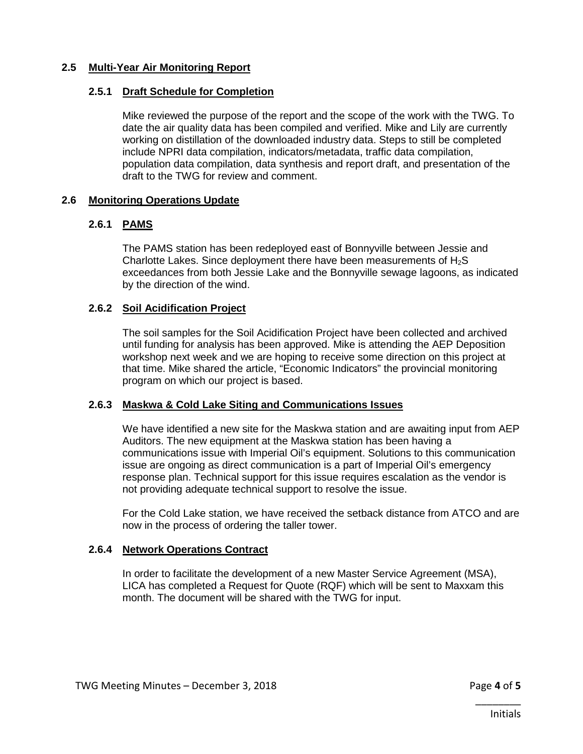### **2.5 Multi-Year Air Monitoring Report**

#### **2.5.1 Draft Schedule for Completion**

Mike reviewed the purpose of the report and the scope of the work with the TWG. To date the air quality data has been compiled and verified. Mike and Lily are currently working on distillation of the downloaded industry data. Steps to still be completed include NPRI data compilation, indicators/metadata, traffic data compilation, population data compilation, data synthesis and report draft, and presentation of the draft to the TWG for review and comment.

#### **2.6 Monitoring Operations Update**

#### **2.6.1 PAMS**

The PAMS station has been redeployed east of Bonnyville between Jessie and Charlotte Lakes. Since deployment there have been measurements of  $H_2S$ exceedances from both Jessie Lake and the Bonnyville sewage lagoons, as indicated by the direction of the wind.

#### **2.6.2 Soil Acidification Project**

The soil samples for the Soil Acidification Project have been collected and archived until funding for analysis has been approved. Mike is attending the AEP Deposition workshop next week and we are hoping to receive some direction on this project at that time. Mike shared the article, "Economic Indicators" the provincial monitoring program on which our project is based.

#### **2.6.3 Maskwa & Cold Lake Siting and Communications Issues**

We have identified a new site for the Maskwa station and are awaiting input from AEP Auditors. The new equipment at the Maskwa station has been having a communications issue with Imperial Oil's equipment. Solutions to this communication issue are ongoing as direct communication is a part of Imperial Oil's emergency response plan. Technical support for this issue requires escalation as the vendor is not providing adequate technical support to resolve the issue.

For the Cold Lake station, we have received the setback distance from ATCO and are now in the process of ordering the taller tower.

## **2.6.4 Network Operations Contract**

In order to facilitate the development of a new Master Service Agreement (MSA), LICA has completed a Request for Quote (RQF) which will be sent to Maxxam this month. The document will be shared with the TWG for input.